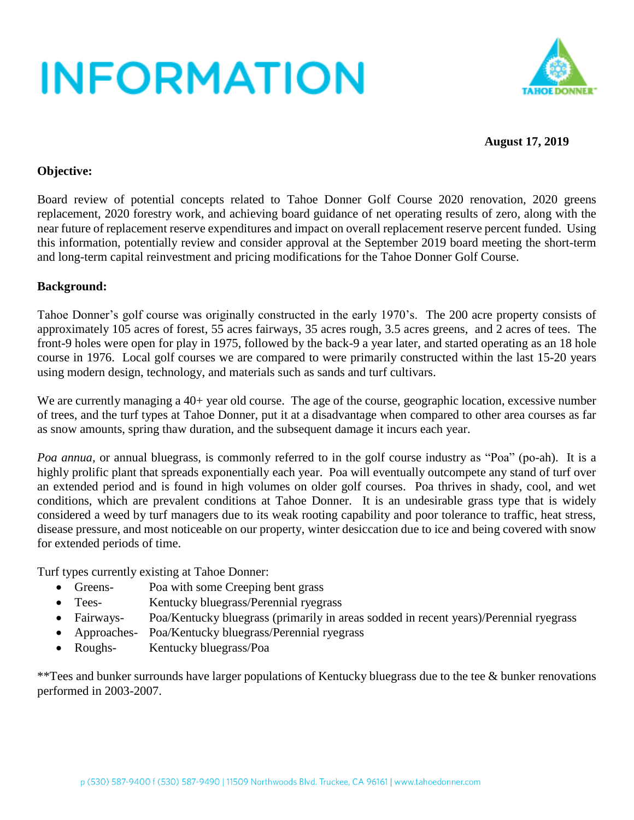

### **August 17, 2019**

### **Objective:**

Board review of potential concepts related to Tahoe Donner Golf Course 2020 renovation, 2020 greens replacement, 2020 forestry work, and achieving board guidance of net operating results of zero, along with the near future of replacement reserve expenditures and impact on overall replacement reserve percent funded. Using this information, potentially review and consider approval at the September 2019 board meeting the short-term and long-term capital reinvestment and pricing modifications for the Tahoe Donner Golf Course.

### **Background:**

Tahoe Donner's golf course was originally constructed in the early 1970's. The 200 acre property consists of approximately 105 acres of forest, 55 acres fairways, 35 acres rough, 3.5 acres greens, and 2 acres of tees. The front-9 holes were open for play in 1975, followed by the back-9 a year later, and started operating as an 18 hole course in 1976. Local golf courses we are compared to were primarily constructed within the last 15-20 years using modern design, technology, and materials such as sands and turf cultivars.

We are currently managing a 40+ year old course. The age of the course, geographic location, excessive number of trees, and the turf types at Tahoe Donner, put it at a disadvantage when compared to other area courses as far as snow amounts, spring thaw duration, and the subsequent damage it incurs each year.

*Poa annua*, or annual bluegrass, is commonly referred to in the golf course industry as "Poa" (po-ah). It is a highly prolific plant that spreads exponentially each year. Poa will eventually outcompete any stand of turf over an extended period and is found in high volumes on older golf courses. Poa thrives in shady, cool, and wet conditions, which are prevalent conditions at Tahoe Donner. It is an undesirable grass type that is widely considered a weed by turf managers due to its weak rooting capability and poor tolerance to traffic, heat stress, disease pressure, and most noticeable on our property, winter desiccation due to ice and being covered with snow for extended periods of time.

Turf types currently existing at Tahoe Donner:

- Greens- Poa with some Creeping bent grass
- Tees- Kentucky bluegrass/Perennial ryegrass
- Fairways- Poa/Kentucky bluegrass (primarily in areas sodded in recent years)/Perennial ryegrass
- Approaches- Poa/Kentucky bluegrass/Perennial ryegrass
- Roughs- Kentucky bluegrass/Poa

\*\*Tees and bunker surrounds have larger populations of Kentucky bluegrass due to the tee & bunker renovations performed in 2003-2007.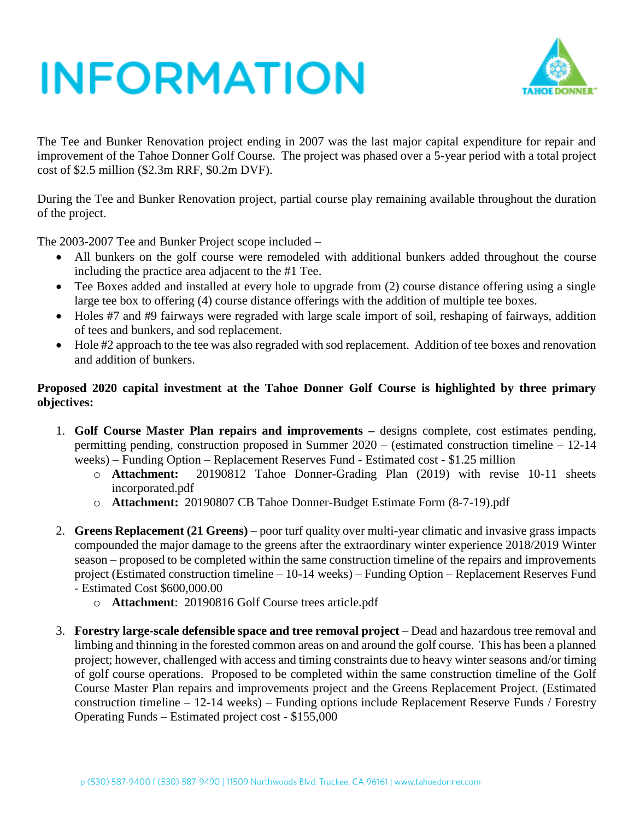

The Tee and Bunker Renovation project ending in 2007 was the last major capital expenditure for repair and improvement of the Tahoe Donner Golf Course. The project was phased over a 5-year period with a total project cost of \$2.5 million (\$2.3m RRF, \$0.2m DVF).

During the Tee and Bunker Renovation project, partial course play remaining available throughout the duration of the project.

The 2003-2007 Tee and Bunker Project scope included –

- All bunkers on the golf course were remodeled with additional bunkers added throughout the course including the practice area adjacent to the #1 Tee.
- Tee Boxes added and installed at every hole to upgrade from (2) course distance offering using a single large tee box to offering (4) course distance offerings with the addition of multiple tee boxes.
- Holes #7 and #9 fairways were regraded with large scale import of soil, reshaping of fairways, addition of tees and bunkers, and sod replacement.
- Hole #2 approach to the tee was also regraded with sod replacement. Addition of tee boxes and renovation and addition of bunkers.

### **Proposed 2020 capital investment at the Tahoe Donner Golf Course is highlighted by three primary objectives:**

- 1. **Golf Course Master Plan repairs and improvements –** designs complete, cost estimates pending, permitting pending, construction proposed in Summer 2020 – (estimated construction timeline – 12-14 weeks) – Funding Option – Replacement Reserves Fund - Estimated cost - \$1.25 million
	- o **Attachment:** 20190812 Tahoe Donner-Grading Plan (2019) with revise 10-11 sheets incorporated.pdf
	- o **Attachment:** 20190807 CB Tahoe Donner-Budget Estimate Form (8-7-19).pdf
- 2. **Greens Replacement (21 Greens)** poor turf quality over multi-year climatic and invasive grass impacts compounded the major damage to the greens after the extraordinary winter experience 2018/2019 Winter season – proposed to be completed within the same construction timeline of the repairs and improvements project (Estimated construction timeline – 10-14 weeks) – Funding Option – Replacement Reserves Fund - Estimated Cost \$600,000.00
	- o **Attachment**: 20190816 Golf Course trees article.pdf
- 3. **Forestry large-scale defensible space and tree removal project** Dead and hazardous tree removal and limbing and thinning in the forested common areas on and around the golf course. This has been a planned project; however, challenged with access and timing constraints due to heavy winter seasons and/or timing of golf course operations. Proposed to be completed within the same construction timeline of the Golf Course Master Plan repairs and improvements project and the Greens Replacement Project. (Estimated construction timeline – 12-14 weeks) – Funding options include Replacement Reserve Funds / Forestry Operating Funds – Estimated project cost - \$155,000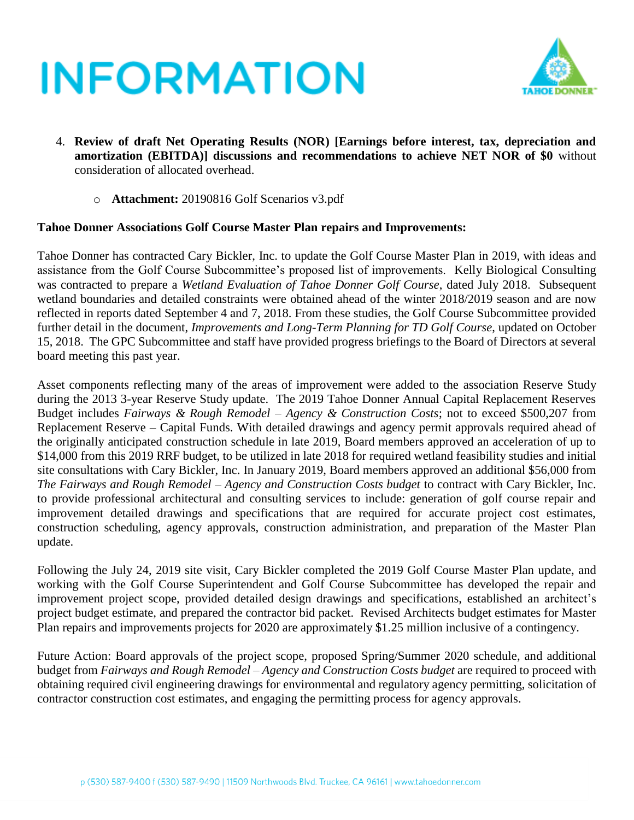

- 4. **Review of draft Net Operating Results (NOR) [Earnings before interest, tax, depreciation and amortization (EBITDA)] discussions and recommendations to achieve NET NOR of \$0** without consideration of allocated overhead.
	- o **Attachment:** 20190816 Golf Scenarios v3.pdf

#### **Tahoe Donner Associations Golf Course Master Plan repairs and Improvements:**

Tahoe Donner has contracted Cary Bickler, Inc. to update the Golf Course Master Plan in 2019, with ideas and assistance from the Golf Course Subcommittee's proposed list of improvements. Kelly Biological Consulting was contracted to prepare a *Wetland Evaluation of Tahoe Donner Golf Course*, dated July 2018. Subsequent wetland boundaries and detailed constraints were obtained ahead of the winter 2018/2019 season and are now reflected in reports dated September 4 and 7, 2018. From these studies, the Golf Course Subcommittee provided further detail in the document, *Improvements and Long-Term Planning for TD Golf Course*, updated on October 15, 2018. The GPC Subcommittee and staff have provided progress briefings to the Board of Directors at several board meeting this past year.

Asset components reflecting many of the areas of improvement were added to the association Reserve Study during the 2013 3-year Reserve Study update. The 2019 Tahoe Donner Annual Capital Replacement Reserves Budget includes *Fairways & Rough Remodel – Agency & Construction Costs*; not to exceed \$500,207 from Replacement Reserve – Capital Funds. With detailed drawings and agency permit approvals required ahead of the originally anticipated construction schedule in late 2019, Board members approved an acceleration of up to \$14,000 from this 2019 RRF budget, to be utilized in late 2018 for required wetland feasibility studies and initial site consultations with Cary Bickler, Inc. In January 2019, Board members approved an additional \$56,000 from *The Fairways and Rough Remodel – Agency and Construction Costs budget* to contract with Cary Bickler, Inc. to provide professional architectural and consulting services to include: generation of golf course repair and improvement detailed drawings and specifications that are required for accurate project cost estimates, construction scheduling, agency approvals, construction administration, and preparation of the Master Plan update.

Following the July 24, 2019 site visit, Cary Bickler completed the 2019 Golf Course Master Plan update, and working with the Golf Course Superintendent and Golf Course Subcommittee has developed the repair and improvement project scope, provided detailed design drawings and specifications, established an architect's project budget estimate, and prepared the contractor bid packet. Revised Architects budget estimates for Master Plan repairs and improvements projects for 2020 are approximately \$1.25 million inclusive of a contingency.

Future Action: Board approvals of the project scope, proposed Spring/Summer 2020 schedule, and additional budget from *Fairways and Rough Remodel – Agency and Construction Costs budget* are required to proceed with obtaining required civil engineering drawings for environmental and regulatory agency permitting, solicitation of contractor construction cost estimates, and engaging the permitting process for agency approvals.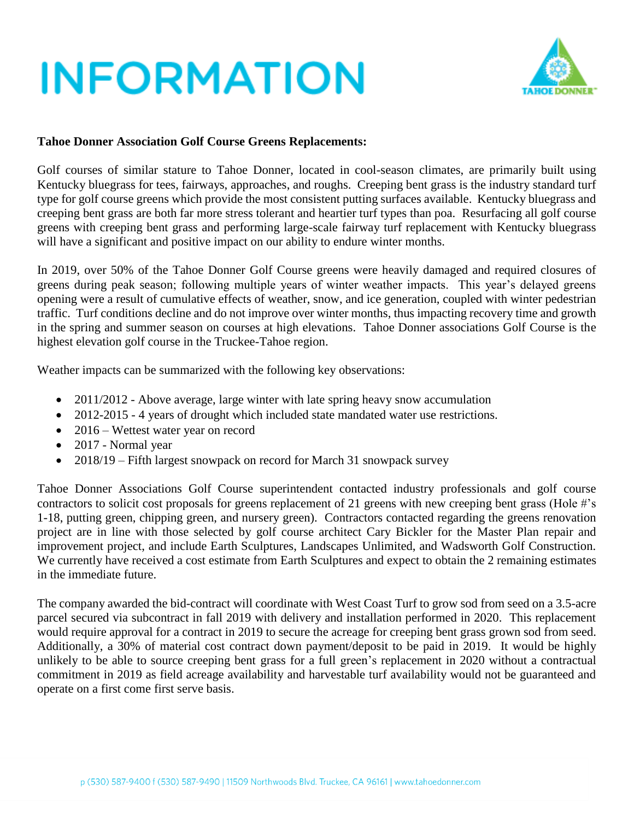

### **Tahoe Donner Association Golf Course Greens Replacements:**

Golf courses of similar stature to Tahoe Donner, located in cool-season climates, are primarily built using Kentucky bluegrass for tees, fairways, approaches, and roughs. Creeping bent grass is the industry standard turf type for golf course greens which provide the most consistent putting surfaces available. Kentucky bluegrass and creeping bent grass are both far more stress tolerant and heartier turf types than poa. Resurfacing all golf course greens with creeping bent grass and performing large-scale fairway turf replacement with Kentucky bluegrass will have a significant and positive impact on our ability to endure winter months.

In 2019, over 50% of the Tahoe Donner Golf Course greens were heavily damaged and required closures of greens during peak season; following multiple years of winter weather impacts. This year's delayed greens opening were a result of cumulative effects of weather, snow, and ice generation, coupled with winter pedestrian traffic. Turf conditions decline and do not improve over winter months, thus impacting recovery time and growth in the spring and summer season on courses at high elevations. Tahoe Donner associations Golf Course is the highest elevation golf course in the Truckee-Tahoe region.

Weather impacts can be summarized with the following key observations:

- 2011/2012 Above average, large winter with late spring heavy snow accumulation
- 2012-2015 4 years of drought which included state mandated water use restrictions.
- 2016 Wettest water year on record
- 2017 Normal year
- 2018/19 Fifth largest snowpack on record for March 31 snowpack survey

Tahoe Donner Associations Golf Course superintendent contacted industry professionals and golf course contractors to solicit cost proposals for greens replacement of 21 greens with new creeping bent grass (Hole #'s 1-18, putting green, chipping green, and nursery green). Contractors contacted regarding the greens renovation project are in line with those selected by golf course architect Cary Bickler for the Master Plan repair and improvement project, and include Earth Sculptures, Landscapes Unlimited, and Wadsworth Golf Construction. We currently have received a cost estimate from Earth Sculptures and expect to obtain the 2 remaining estimates in the immediate future.

The company awarded the bid-contract will coordinate with West Coast Turf to grow sod from seed on a 3.5-acre parcel secured via subcontract in fall 2019 with delivery and installation performed in 2020. This replacement would require approval for a contract in 2019 to secure the acreage for creeping bent grass grown sod from seed. Additionally, a 30% of material cost contract down payment/deposit to be paid in 2019. It would be highly unlikely to be able to source creeping bent grass for a full green's replacement in 2020 without a contractual commitment in 2019 as field acreage availability and harvestable turf availability would not be guaranteed and operate on a first come first serve basis.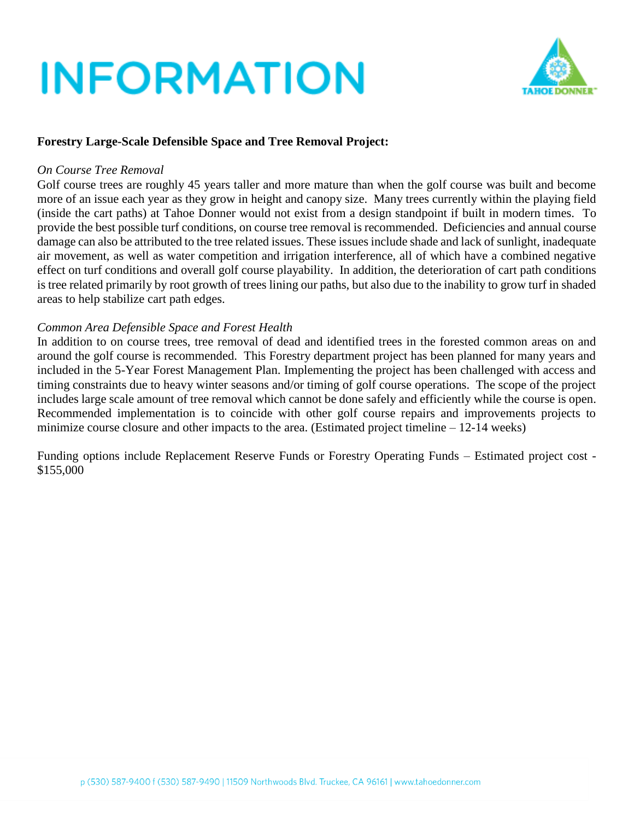

### **Forestry Large-Scale Defensible Space and Tree Removal Project:**

#### *On Course Tree Removal*

Golf course trees are roughly 45 years taller and more mature than when the golf course was built and become more of an issue each year as they grow in height and canopy size. Many trees currently within the playing field (inside the cart paths) at Tahoe Donner would not exist from a design standpoint if built in modern times. To provide the best possible turf conditions, on course tree removal is recommended. Deficiencies and annual course damage can also be attributed to the tree related issues. These issues include shade and lack of sunlight, inadequate air movement, as well as water competition and irrigation interference, all of which have a combined negative effect on turf conditions and overall golf course playability. In addition, the deterioration of cart path conditions is tree related primarily by root growth of trees lining our paths, but also due to the inability to grow turf in shaded areas to help stabilize cart path edges.

#### *Common Area Defensible Space and Forest Health*

In addition to on course trees, tree removal of dead and identified trees in the forested common areas on and around the golf course is recommended. This Forestry department project has been planned for many years and included in the 5-Year Forest Management Plan. Implementing the project has been challenged with access and timing constraints due to heavy winter seasons and/or timing of golf course operations. The scope of the project includes large scale amount of tree removal which cannot be done safely and efficiently while the course is open. Recommended implementation is to coincide with other golf course repairs and improvements projects to minimize course closure and other impacts to the area. (Estimated project timeline – 12-14 weeks)

Funding options include Replacement Reserve Funds or Forestry Operating Funds – Estimated project cost - \$155,000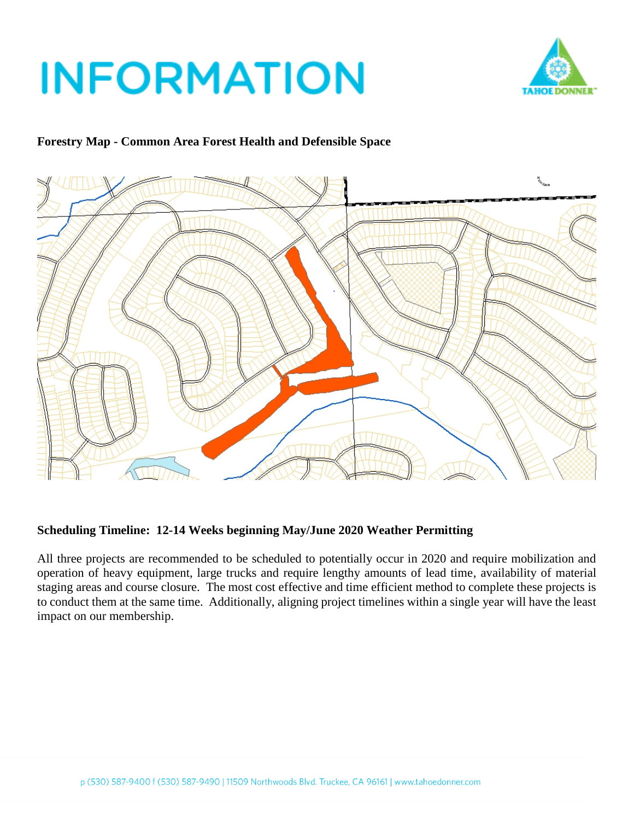

### **Forestry Map - Common Area Forest Health and Defensible Space**



#### **Scheduling Timeline: 12-14 Weeks beginning May/June 2020 Weather Permitting**

All three projects are recommended to be scheduled to potentially occur in 2020 and require mobilization and operation of heavy equipment, large trucks and require lengthy amounts of lead time, availability of material staging areas and course closure. The most cost effective and time efficient method to complete these projects is to conduct them at the same time. Additionally, aligning project timelines within a single year will have the least impact on our membership.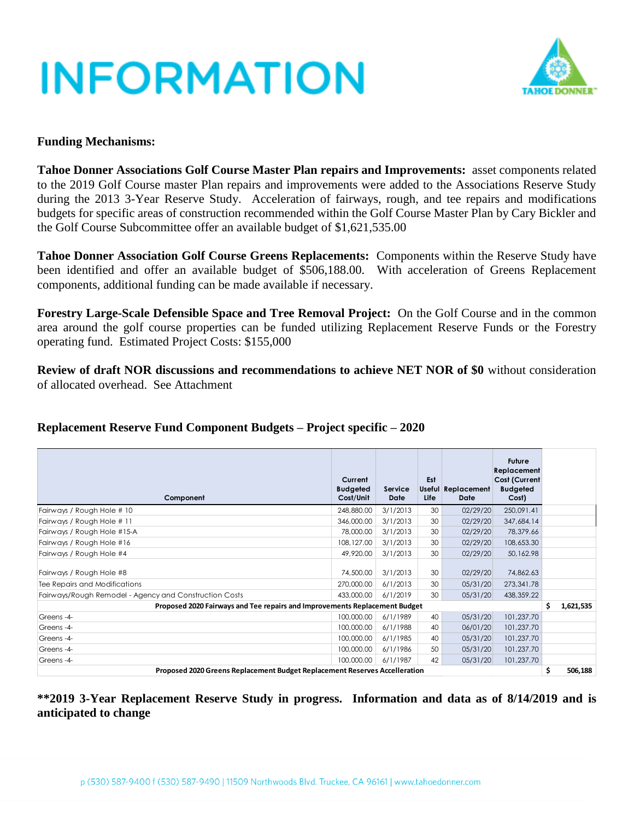

#### **Funding Mechanisms:**

**Tahoe Donner Associations Golf Course Master Plan repairs and Improvements:** asset components related to the 2019 Golf Course master Plan repairs and improvements were added to the Associations Reserve Study during the 2013 3-Year Reserve Study. Acceleration of fairways, rough, and tee repairs and modifications budgets for specific areas of construction recommended within the Golf Course Master Plan by Cary Bickler and the Golf Course Subcommittee offer an available budget of \$1,621,535.00

**Tahoe Donner Association Golf Course Greens Replacements:** Components within the Reserve Study have been identified and offer an available budget of \$506,188.00. With acceleration of Greens Replacement components, additional funding can be made available if necessary.

**Forestry Large-Scale Defensible Space and Tree Removal Project:** On the Golf Course and in the common area around the golf course properties can be funded utilizing Replacement Reserve Funds or the Forestry operating fund. Estimated Project Costs: \$155,000

**Review of draft NOR discussions and recommendations to achieve NET NOR of \$0** without consideration of allocated overhead. See Attachment

## **Replacement Reserve Fund Component Budgets – Project specific – 2020**

| Component                                                                  | Current<br><b>Budgeted</b><br>Cost/Unit | Service<br><b>Date</b> | Est<br><b>Life</b> | Useful Replacement<br>Date | Future<br>Replacement<br>Cost (Current<br><b>Budgeted</b><br>Cost) |  |  |  |  |
|----------------------------------------------------------------------------|-----------------------------------------|------------------------|--------------------|----------------------------|--------------------------------------------------------------------|--|--|--|--|
| Fairways / Rough Hole # 10                                                 | 248,880.00                              | 3/1/2013               | 30                 | 02/29/20                   | 250,091.41                                                         |  |  |  |  |
| Fairways / Rough Hole # 11                                                 | 346,000.00                              | 3/1/2013               | 30                 | 02/29/20                   | 347,684.14                                                         |  |  |  |  |
| Fairways / Rough Hole #15-A                                                | 78,000.00                               | 3/1/2013               | 30                 | 02/29/20                   | 78,379.66                                                          |  |  |  |  |
| Fairways / Rough Hole #16                                                  | 108, 127.00                             | 3/1/2013               | 30                 | 02/29/20                   | 108,653.30                                                         |  |  |  |  |
| Fairways / Rough Hole #4                                                   | 49,920.00                               | 3/1/2013               | 30                 | 02/29/20                   | 50,162.98                                                          |  |  |  |  |
| Fairways / Rough Hole #8<br>Tee Repairs and Modifications                  | 74,500.00<br>270,000.00                 | 3/1/2013<br>6/1/2013   | 30<br>30           | 02/29/20<br>05/31/20       | 74,862.63<br>273,341.78                                            |  |  |  |  |
| Fairways/Rough Remodel - Agency and Construction Costs                     | 433,000.00                              | 6/1/2019               | 30                 | 05/31/20                   | 438, 359. 22                                                       |  |  |  |  |
| Proposed 2020 Fairways and Tee repairs and Improvements Replacement Budget |                                         |                        |                    |                            |                                                                    |  |  |  |  |
| Greens-4-                                                                  | 100,000.00                              | 6/1/1989               | 40                 | 05/31/20                   | 101,237.70                                                         |  |  |  |  |
| Greens-4-                                                                  | 100,000.00                              | 6/1/1988               | 40                 | 06/01/20                   | 101,237.70                                                         |  |  |  |  |
| Greens-4-                                                                  | 100,000.00                              | 6/1/1985               | 40                 | 05/31/20                   | 101,237.70                                                         |  |  |  |  |
| Greens-4-                                                                  | 100,000.00                              | 6/1/1986               | 50                 | 05/31/20                   | 101,237.70                                                         |  |  |  |  |
| Greens-4-                                                                  | 100,000.00                              | 6/1/1987               | 42                 | 05/31/20                   | 101,237.70                                                         |  |  |  |  |
| Proposed 2020 Greens Replacement Budget Replacement Reserves Accelleration |                                         |                        |                    |                            |                                                                    |  |  |  |  |

**\*\*2019 3-Year Replacement Reserve Study in progress. Information and data as of 8/14/2019 and is anticipated to change**